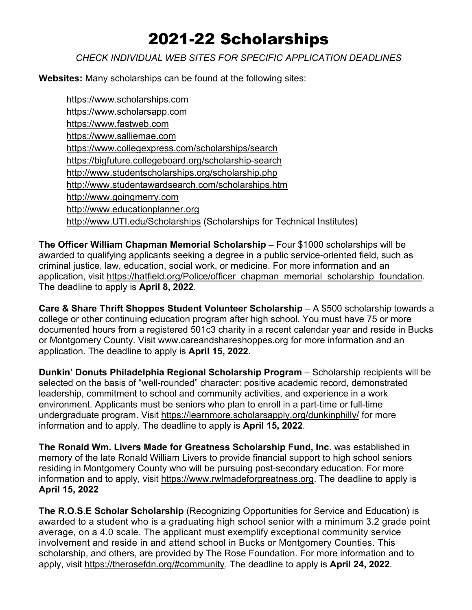## 2021-22 Scholarships

## *CHECK INDIVIDUAL WEB SITES FOR SPECIFIC APPLICATION DEADLINES*

**Websites:** Many scholarships can be found at the following sites:

[https://www.scholarships.com](https://www.scholarships.com/) [https://www.scholarsapp.com](https://www.scholarsapp.com/) [https://www.fastweb.com](https://www.fastweb.com/) [https://www.salliemae.com](https://www.salliemae.com/) <https://www.collegexpress.com/scholarships/search> <https://bigfuture.collegeboard.org/scholarship-search> <http://www.studentscholarships.org/scholarship.php> <http://www.studentawardsearch.com/scholarships.htm> [http://www.goingmerry.com](http://www.goingmerry.com/) [http://www.educationplanner.org](http://www.educationplanner.org/) [http://www.UTI.edu/Scholarships](http://www.uti.edu/Scholarships) (Scholarships for Technical Institutes)

**The Officer William Chapman Memorial Scholarship** – Four \$1000 scholarships will be awarded to qualifying applicants seeking a degree in a public service-oriented field, such as criminal justice, law, education, social work, or medicine. For more information and an application, visit [https://hatfield.org/Police/officer\\_chapman\\_memorial\\_scholarship\\_foundation.](https://hatfield.org/Police/officer_chapman_memorial_scholarship_foundation) The deadline to apply is **April 8, 2022**.

**Care & Share Thrift Shoppes Student Volunteer Scholarship** – A \$500 scholarship towards a college or other continuing education program after high school. You must have 75 or more documented hours from a registered 501c3 charity in a recent calendar year and reside in Bucks or Montgomery County. Visit [www.careandshareshoppes.org](http://www.careandshareshoppes.org/) for more information and an application. The deadline to apply is **April 15, 2022.**

**Dunkin' Donuts Philadelphia Regional Scholarship Program** – Scholarship recipients will be selected on the basis of "well-rounded" character: positive academic record, demonstrated leadership, commitment to school and community activities, and experience in a work environment. Applicants must be seniors who plan to enroll in a part-time or full-time undergraduate program. Visit<https://learnmore.scholarsapply.org/dunkinphilly/> for more information and to apply. The deadline to apply is **April 15, 2022**.

**The Ronald Wm. Livers Made for Greatness Scholarship Fund, Inc.** was established in memory of the late Ronald William Livers to provide financial support to high school seniors residing in Montgomery County who will be pursuing post-secondary education. For more information and to apply, visit [https://www.rwlmadeforgreatness.org.](https://www.rwlmadeforgreatness.org/) The deadline to apply is **April 15, 2022**

**The R.O.S.E Scholar Scholarship** (Recognizing Opportunities for Service and Education) is awarded to a student who is a graduating high school senior with a minimum 3.2 grade point average, on a 4.0 scale. The applicant must exemplify exceptional community service involvement and reside in and attend school in Bucks or Montgomery Counties. This scholarship, and others, are provided by The Rose Foundation. For more information and to apply, visit [https://therosefdn.org/#community.](https://therosefdn.org/#community) The deadline to apply is **April 24, 2022**.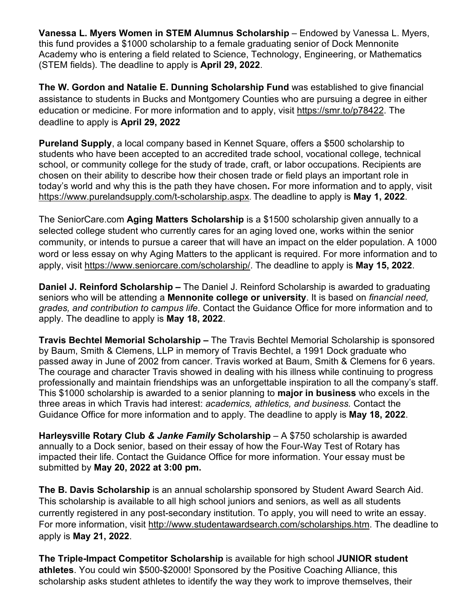**Vanessa L. Myers Women in STEM Alumnus Scholarship – Endowed by Vanessa L. Myers,** this fund provides a \$1000 scholarship to a female graduating senior of Dock Mennonite Academy who is entering a field related to Science, Technology, Engineering, or Mathematics (STEM fields). The deadline to apply is **April 29, 2022**.

**The W. Gordon and Natalie E. Dunning Scholarship Fund** was established to give financial assistance to students in Bucks and Montgomery Counties who are pursuing a degree in either education or medicine. For more information and to apply, visit [https://smr.to/p78422.](https://smr.to/p78422) The deadline to apply is **April 29, 2022**

**Pureland Supply**, a local company based in Kennet Square, offers a \$500 scholarship to students who have been accepted to an accredited trade school, vocational college, technical school, or community college for the study of trade, craft, or labor occupations. Recipients are chosen on their ability to describe how their chosen trade or field plays an important role in today's world and why this is the path they have chosen**.** For more information and to apply, visit <https://www.purelandsupply.com/t-scholarship.aspx>. The deadline to apply is **May 1, 2022**.

The SeniorCare.com **Aging Matters Scholarship** is a \$1500 scholarship given annually to a selected college student who currently cares for an aging loved one, works within the senior community, or intends to pursue a career that will have an impact on the elder population. A 1000 word or less essay on why Aging Matters to the applicant is required. For more information and to apply, visit [https://www.seniorcare.com/scholarship/.](https://www.seniorcare.com/scholarship/) The deadline to apply is **May 15, 2022**.

**Daniel J. Reinford Scholarship –** The Daniel J. Reinford Scholarship is awarded to graduating seniors who will be attending a **Mennonite college or university**. It is based on *financial need, grades, and contribution to campus life*. Contact the Guidance Office for more information and to apply. The deadline to apply is **May 18, 2022**.

**Travis Bechtel Memorial Scholarship –** The Travis Bechtel Memorial Scholarship is sponsored by Baum, Smith & Clemens, LLP in memory of Travis Bechtel, a 1991 Dock graduate who passed away in June of 2002 from cancer. Travis worked at Baum, Smith & Clemens for 6 years. The courage and character Travis showed in dealing with his illness while continuing to progress professionally and maintain friendships was an unforgettable inspiration to all the company's staff. This \$1000 scholarship is awarded to a senior planning to **major in business** who excels in the three areas in which Travis had interest: *academics, athletics, and business.* Contact the Guidance Office for more information and to apply. The deadline to apply is **May 18, 2022**.

**Harleysville Rotary Club** *& Janke Family* **Scholarship** – A \$750 scholarship is awarded annually to a Dock senior, based on their essay of how the Four-Way Test of Rotary has impacted their life. Contact the Guidance Office for more information. Your essay must be submitted by **May 20, 2022 at 3:00 pm.**

**The B. Davis Scholarship** is an annual scholarship sponsored by Student Award Search Aid. This scholarship is available to all high school juniors and seniors, as well as all students currently registered in any post-secondary institution. To apply, you will need to write an essay. For more information, visit [http://www.studentawardsearch.com/scholarships.htm.](http://www.studentawardsearch.com/scholarships.htm) The deadline to apply is **May 21, 2022**.

**The Triple-Impact Competitor Scholarship** is available for high school **JUNIOR student athletes**. You could win \$500-\$2000! Sponsored by the Positive Coaching Alliance, this scholarship asks student athletes to identify the way they work to improve themselves, their